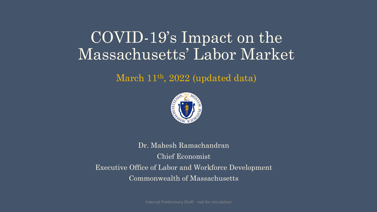# COVID-19's Impact on the Massachusetts' Labor Market

#### March 11<sup>th</sup>, 2022 (updated data)



Dr. Mahesh Ramachandran Chief Economist Executive Office of Labor and Workforce Development Commonwealth of Massachusetts

Internal Preliminary Draft - not for circulation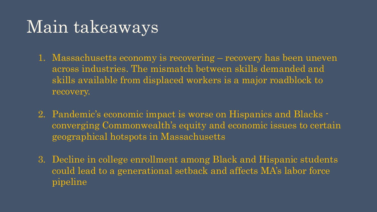# Main takeaways

- 1. Massachusetts economy is recovering recovery has been uneven across industries. The mismatch between skills demanded and skills available from displaced workers is a major roadblock to recovery.
- 2. Pandemic's economic impact is worse on Hispanics and Blacks converging Commonwealth's equity and economic issues to certain geographical hotspots in Massachusetts
- 3. Decline in college enrollment among Black and Hispanic students could lead to a generational setback and affects MA's labor force pipeline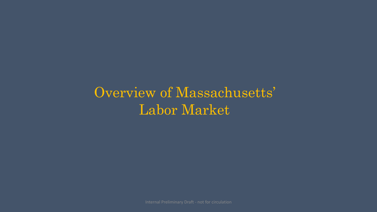Overview of Massachusetts' Labor Market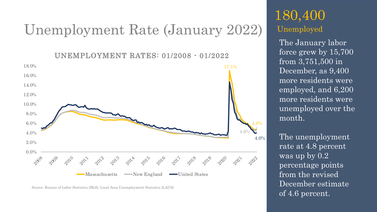# Unemployment Rate (January 2022)

UNEMPLOYMENT RATES: 01/2008 - 01/2022



Source: Bureau of Labor Statistics (BLS), Local Area Unemployment Statistics (LAUS)

# 180,400 Unemployed

The January labor force grew by 15,700 from 3,751,500 in December, as 9,400 more residents were employed, and 6,200 more residents were unemployed over the month.

The unemployment rate at 4.8 percent was up by 0.2 percentage points from the revised December estimate of 4.6 percent.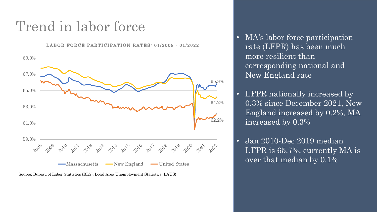# Trend in labor force

LABOR FORCE PARTICIPATION RATES: 01/2008 - 01/2022



Source: Bureau of Labor Statistics (BLS), Local Area Unemployment Statistics (LAUS)

- MA's labor force participation rate (LFPR) has been much more resilient than corresponding national and New England rate
- LFPR nationally increased by 0.3% since December 2021, New England increased by 0.2%, MA increased by 0.3%
- Jan 2010-Dec 2019 median LFPR is 65.7%, currently MA is over that median by 0.1%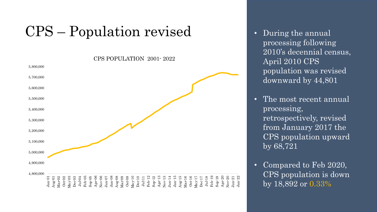# CPS – Population revised

4,800,000 4,900,000 5,000,000 5,100,000 5,200,000 5,300,000 5,400,000 5,500,000 5,600,000 5,700,000 5,800,000 Jan-01 Aug-01 Mar-02 Oct-02 May-03 Dec-03 Jul-04 Feb-05 Sep-05 Apr-06 Nov-06 Jun-07 Jan-08 Aug-08 Mar-09 Oct-09 May-10 Dec-10 Jul-11 Feb-12 Sep-12 Apr-13 Nov-13 Jun-14 Jan-15 Aug-15 Mar-16 Oct-16 May-17 Dec-17 Jul-18 Feb-19 Sep-19 Apr-20 Nov-20 Jun-21 Jan-22 CPS POPULATION 2001- 2022

- During the annual processing following 2010's decennial census, April 2010 CPS population was revised downward by 44,801
- The most recent annual processing, retrospectively, revised from January 2017 the CPS population upward by 68,721
- Compared to Feb 2020, CPS population is down by 18,892 or 0.33%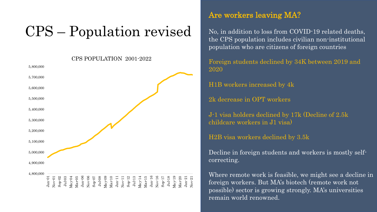# CPS – Population revised

CPS POPULATION 2001-2022

4,800,000 4,900,000 5,000,000 5,100,000 5,200,000 5,300,000 5,400,000 5,500,000 5,600,000 5,700,000 5,800,000 Jan:01<br>Nov-01<br>Sep-02<br>May-04<br>Mar-05<br>May-09<br>Mar-11<br>Mar-11<br>Mar-11<br>Mar-14<br>Mar-16<br>Mar-10<br>Mar-21<br>Mar-21<br>Mar-21<br>Mar-20<br>Mar-20

#### Are workers leaving MA?

No, in addition to loss from COVID-19 related deaths, the CPS population includes civilian non-institutional population who are citizens of foreign countries

Foreign students declined by 34K between 2019 and 2020

H1B workers increased by 4k

2k decrease in OPT workers

J-1 visa holders declined by 17k (Decline of 2.5k childcare workers in J1 visa)

H2B visa workers declined by 3.5k

Decline in foreign students and workers is mostly selfcorrecting.

Where remote work is feasible, we might see a decline in foreign workers. But MA's biotech (remote work not possible) sector is growing strongly. MA's universities remain world renowned.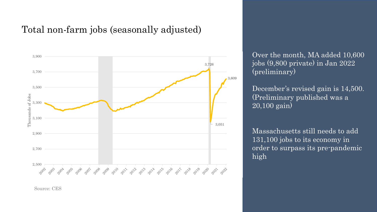#### Total non-farm jobs (seasonally adjusted)



Source: CES

Over the month, MA added 10,600 jobs (9,800 private) in Jan 2022 (preliminary)

December's revised gain is 14,500. (Preliminary published was a 20,100 gain)

Massachusetts still needs to add 131,100 jobs to its economy in order to surpass its pre-pandemic high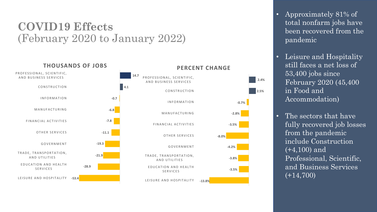# **COVID19 Effects** (February 2020 to January 2022)



- Approximately 81% of total nonfarm jobs have been recovered from the pandemic
- Leisure and Hospitality still faces a net loss of 53,400 jobs since February 2020 (45,400 in Food and Accommodation)
- The sectors that have fully recovered job losses from the pandemic include Construction (+4,100) and Professional, Scientific, and Business Services  $(+14,700)$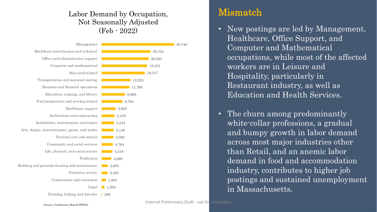#### Labor Demand by Occupation, Not Seasonally Adjusted (Feb - 2022)



#### Mismatch

- New postings are led by Management, Healthcare, Office Support, and Computer and Mathematical occupations, while most of the affected workers are in Leisure and Hospitality, particularly in Restaurant industry, as well as Education and Health Services.
- The churn among predominantly white-collar professions, a gradual and bumpy growth in labor demand across most major industries other than Retail, and an anemic labor demand in food and accommodation industry, contributes to higher job postings and sustained unemployment in Massachusetts.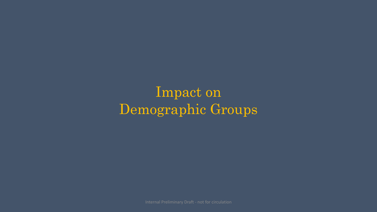Impact on Demographic Groups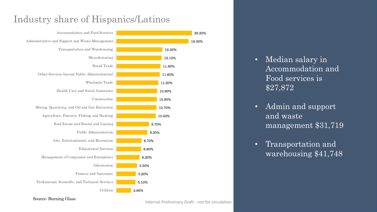## Industry share of Hispanics/Latinos



Source: Burning Glass

20.20%

- Median salary in Accommodation and Food services is \$27,872
- Admin and support and waste management \$31,719
- Transportation and warehousing \$41,748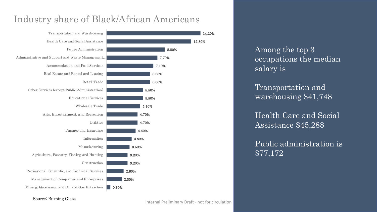## Industry share of Black/African Americans



Among the top 3 occupations the median salary is

Transportation and warehousing \$41,748

Health Care and Social Assistance \$45,288

Public administration is \$77,172

Source: Burning Glass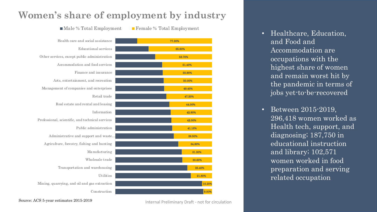### **Women's share of employment by industry**

 $\blacksquare$ Male % Total Employment  $\blacksquare$  Female % Total Employment

**C**onstruction Mining, quarrying, and oil and gas extraction Utilities Transportation and warehousing Wholesale trade Manufacturing Agriculture, forestry, fishing and hunting Administrative and support and waste… Public administration Professional, scientific, and technical services Information Real estate and rental and leasing Retail trade Management of companies and enterprises Arts, entertainment, and recreation Finance and insurance Accommodation and food services Other services, except public administration Educational services Health care and social assistance

10.20% 21.80% 25.40% 30.60% 31.30% 34.80% 39.50% 41.10% 42.00% 42.80% 44.00% 47.20% 49.40% 50.00% 50.90% 51.40% 58.70% 65.60% 77.30%

- Healthcare, Education, and Food and Accommodation are occupations with the highest share of women and remain worst hit by the pandemic in terms of jobs yet-to-be-recovered
- Between 2015-2019, 296,418 women worked as Health tech, support, and diagnosing; 187,750 in educational instruction and library; 102,571 women worked in food preparation and serving related occupation

Source: ACS 5-year estimates 2015-2019

Internal Preliminary Draft - not for circulation

9.00%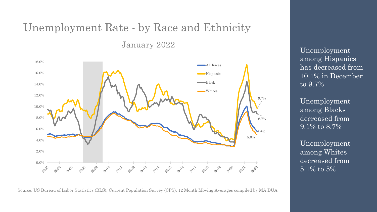# Unemployment Rate - by Race and Ethnicity

January 2022



Source: US Bureau of Labor Statistics (BLS), Current Population Survey (CPS), 12 Month Moving Averages compiled by MA DUA

Unemployment among Hispanics has decreased from 10.1% in December to 9.7%

Unemployment among Blacks decreased from 9.1% to 8.7%

Unemployment among Whites decreased from 5.1% to 5%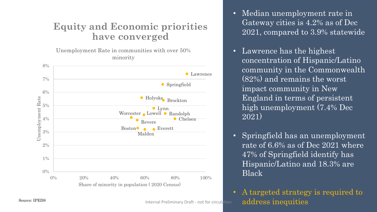### **Equity and Economic priorities have converged**

Unemployment Rate in communities with over 50% minority



- Lawrence has the highest concentration of Hispanic/Latino community in the Commonwealth (82%) and remains the worst impact community in New England in terms of persistent high unemployment (7.4% Dec 2021)
- Springfield has an unemployment rate of 6.6% as of Dec 2021 where 47% of Springfield identify has Hispanic/Latino and 18.3% are Black

• A targeted strategy is required to Source: IPEDS  $\blacksquare$  Internal Preliminary Draft - not for circulation  $\blacksquare$  address inequities

Internal Preliminary Draft - not for circulation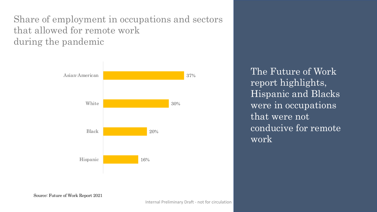Share of employment in occupations and sectors that allowed for remote work during the pandemic



The Future of Work report highlights, Hispanic and Blacks were in occupations that were not conducive for remote work

Source: Future of Work Report 2021

Internal Preliminary Draft - not for circulation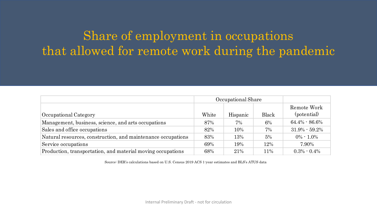# Share of employment in occupations that allowed for remote work during the pandemic

|                                                              | Occupational Share |          |              |                            |
|--------------------------------------------------------------|--------------------|----------|--------------|----------------------------|
| Occupational Category                                        | White              | Hispanic | <b>Black</b> | Remote Work<br>(potential) |
| Management, business, science, and arts occupations          | 87%                | $7\%$    | 6%           | $64.4\% - 86.6\%$          |
| Sales and office occupations                                 | 82%                | 10%      | 7%           | $31.9\% - 59.2\%$          |
| Natural resources, construction, and maintenance occupations | 83%                | 13%      | 5%           | $0\% - 1.0\%$              |
| Service occupations                                          | 69%                | 19%      | 12%          | 7.90%                      |
| Production, transportation, and material moving occupations  | 68%                | 21%      | 11%          | $0.3\% - 0.4\%$            |

Source: DER's calculations based on U.S. Census 2019 ACS 1-year estimates and BLS's ATUS data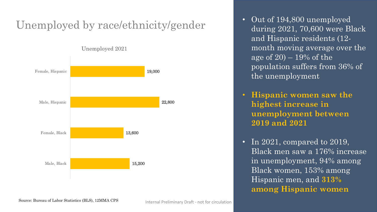# Unemployed by race/ethnicity/gender



- Out of 194,800 unemployed during 2021, 70,600 were Black and Hispanic residents (12 month moving average over the age of  $20 - 19\%$  of the population suffers from 36% of the unemployment
- **Hispanic women saw the highest increase in unemployment between 2019 and 2021**
- In 2021, compared to 2019, Black men saw a 176% increase in unemployment, 94% among Black women, 153% among Hispanic men, and **313% among Hispanic women**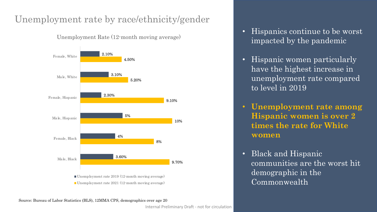## Unemployment rate by race/ethnicity/gender

Unemployment Rate (12-month moving average)



Source: Bureau of Labor Statistics (BLS), 12MMA CPS, demographics over age 20

- Hispanics continue to be worst impacted by the pandemic
- Hispanic women particularly have the highest increase in unemployment rate compared to level in 2019
- **Unemployment rate among Hispanic women is over 2 times the rate for White women**
- Black and Hispanic communities are the worst hit demographic in the Commonwealth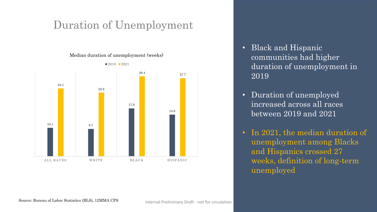# Duration of Unemployment

Median duration of unemployment (weeks)



communities had higher duration of unemployment in 2019

• Black and Hispanic

- Duration of unemployed increased across all races between 2019 and 2021
- In 2021, the median duration of unemployment among Blacks and Hispanics crossed 27 weeks, definition of long-term unemployed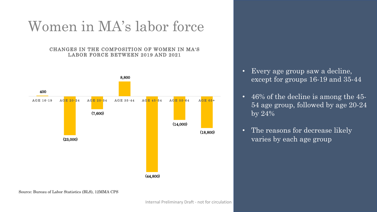# Women in MA's labor force

#### CHANGES IN THE COMPOSITION OF WOMEN IN MA'S LABOR FORCE BETWEEN 2019 AND 2021



- Every age group saw a decline, except for groups 16-19 and 35-44
- 46% of the decline is among the 45- 54 age group, followed by age 20-24 by 24%
- The reasons for decrease likely varies by each age group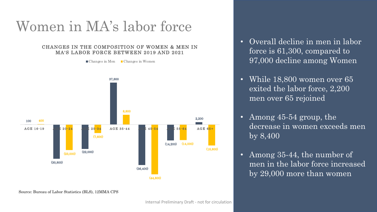# Women in MA's labor force

#### CHANGES IN THE COMPOSITION OF WOMEN & MEN IN MA'S LABOR FORCE BETWEEN 2019 AND 2021

 $\Box$  Changes in Men  $\Box$  Changes in Women



• Overall decline in men in labor force is 61,300, compared to 97,000 decline among Women

- While 18,800 women over 65 exited the labor force, 2,200 men over 65 rejoined
- Among 45-54 group, the decrease in women exceeds men by 8,400
- Among 35-44, the number of men in the labor force increased by 29,000 more than women

Source: Bureau of Labor Statistics (BLS), 12MMA CPS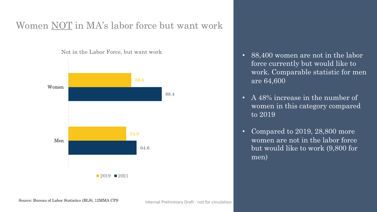## Women NOT in MA's labor force but want work



Not in the Labor Force, but want work

- 88,400 women are not in the labor force currently but would like to work. Comparable statistic for men are 64,600
- A 48% increase in the number of women in this category compared to 2019
- Compared to 2019, 28,800 more women are not in the labor force but would like to work (9,800 for men)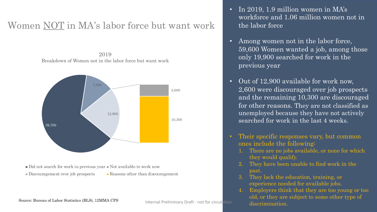## Women NOT in MA's labor force but want work

2019 Breakdown of Women not in the labor force but want work



- $\blacksquare$  Did not search for work in previous year  $\blacksquare$  Not available to work now
- Discouragement over job prospects **Reasons other than discouragement**
- 
- In 2019, 1.9 million women in MA's workforce and 1.06 million women not in the labor force
- Among women not in the labor force, 59,600 Women wanted a job, among those only 19,900 searched for work in the previous year
- Out of 12,900 available for work now, 2,600 were discouraged over job prospects and the remaining 10,300 are discouraged for other reasons. They are not classified as unemployed because they have not actively searched for work in the last 4 weeks.
- Their specific responses vary, but common ones include the following:
	- 1. There are no jobs available, or none for which they would qualify.
	- They have been unable to find work in the past.
	- 3. They lack the education, training, or experience needed for available jobs.
	- 4. Employers think that they are too young or too old, or they are subject to some other type of

Source: Bureau of Labor Statistics (BLS), 12MMA CPS and thermal Preliminary Draft - not for circulation and the discrimination.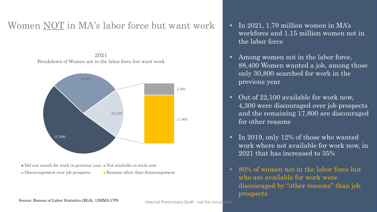### Women NOT in MA's labor force but want work • In 2021, 1.79 million women in MA's

2021 Breakdown of Women not in the labor force but want work



 $\blacksquare$  Did not search for work in previous year  $\blacksquare$  Not available to work now

- 
- Discouragement over job prospects **Reasons** other than discouragement
- workforce and 1.15 million women not in the labor force
- Among women not in the labor force, 88,400 Women wanted a job, among those only 30,800 searched for work in the previous year
- Out of 22,100 available for work now, 4,300 were discouraged over job prospects and the remaining 17,800 are discouraged for other reasons
- In 2019, only 12% of those who wanted work where not available for work now, in 2021 that has increased to 35%
- 80% of women not in the labor force but who are available for work were discouraged by "other reasons" than job prospects

Source: Bureau of Labor Statistics (BLS), 12MMA CPS

Internal Preliminary Draft - not for circulation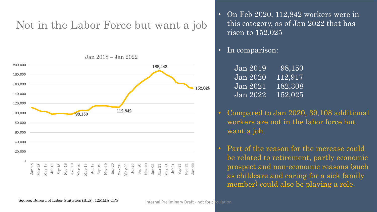# Not in the Labor Force but want a job



• On Feb 2020, 112,842 workers were in this category, as of Jan 2022 that has risen to 152,025

#### • In comparison:

| <b>Jan 2019</b>                 | $ 98,150\rangle$     |
|---------------------------------|----------------------|
| <b>Jan 2020</b>                 | 112,917              |
| $\overline{\mathrm{Jan}\ 2021}$ | $\overline{182,308}$ |
| Jan 2022                        | 152,025              |

- Compared to Jan 2020, 39,108 additional workers are not in the labor force but want a job.
- Part of the reason for the increase could be related to retirement, partly economic prospect and non-economic reasons (such as childcare and caring for a sick family member) could also be playing a role.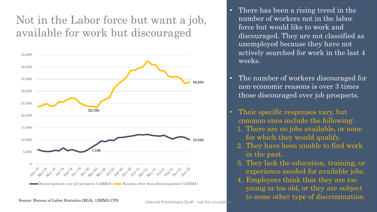# Not in the Labor force but want a job, available for work but discouraged



- There has been a rising trend in the number of workers not in the labor force but would like to work and discouraged. They are not classified as unemployed because they have not actively searched for work in the last 4 weeks.
- The number of workers discouraged for non-economic reasons is over 3 times those discouraged over job prospects.
- Their specific responses vary, but common ones include the following:
	- 1. There are no jobs available, or none for which they would qualify.
	- 2. They have been unable to find work in the past.
	- 3. They lack the education, training, or experience needed for available jobs.
- 4. Employers think that they are too young or too old, or they are subject Internal Preliminary Draft - not for circulation to some other type of discrimination.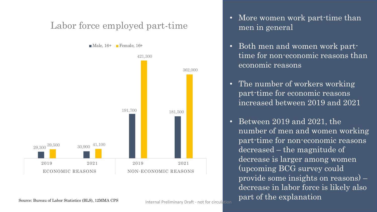## Labor force employed part-time

 $\blacksquare$  Male, 16+  $\blacksquare$  Female, 16+



- More women work part-time than men in general
- Both men and women work parttime for non-economic reasons than economic reasons
- The number of workers working part-time for economic reasons increased between 2019 and 2021
- Between 2019 and 2021, the number of men and women working part-time for non-economic reasons decreased – the magnitude of decrease is larger among women (upcoming BCG survey could provide some insights on reasons) – decrease in labor force is likely also Source: Bureau of Labor Statistics (BLS), 12MMA CPS https:// Proliminary Draft and for circulation part of the explanation

Internal Preliminary Draft - not for circulation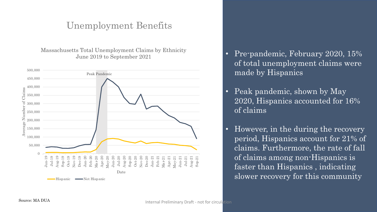#### Unemployment Benefits

Massachusetts Total Unemployment Claims by Ethnicity June 2019 to September 2021



- Pre-pandemic, February 2020, 15% of total unemployment claims were made by Hispanics
- Peak pandemic, shown by May 2020, Hispanics accounted for 16% of claims
- However, in the during the recovery period, Hispanics account for 21% of claims. Furthermore, the rate of fall of claims among non-Hispanics is faster than Hispanics , indicating slower recovery for this community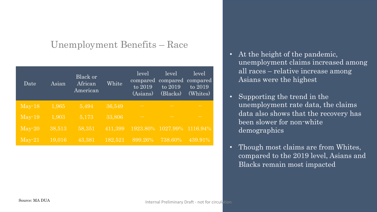## Unemployment Benefits – Race

| Date            | Asian  | Black or<br>African<br>American | White   | level<br>compared<br>to 2019<br>(Asians) | level<br>compared<br>to 2019<br>$\sqrt{\text{Blacks}}$ | level<br>compared<br>to 2019<br>(Whites) |
|-----------------|--------|---------------------------------|---------|------------------------------------------|--------------------------------------------------------|------------------------------------------|
| $May-18$        | 1,965  | 5,494                           | 36,549  | $\sim$ $-$                               | $\sim$ $-$                                             | $\sim$ $-$                               |
| $May-19$        | 1,903  | 5,173                           | 33,806  | $\sim$ $-$                               | <b>College</b>                                         | - -                                      |
| $\text{May-}20$ | 38,513 | 58,351                          | 411,399 | 1923.80%                                 | 1027.99%                                               | 1116.94%                                 |
| $\text{Mav-}21$ | 19,016 | 43,381                          | 182,521 | $899.26\%$                               | 738.60%                                                | 439.91%                                  |

- At the height of the pandemic, unemployment claims increased among all races – relative increase among Asians were the highest
- Supporting the trend in the unemployment rate data, the claims data also shows that the recovery has been slower for non-white demographics
- Though most claims are from Whites, compared to the 2019 level, Asians and Blacks remain most impacted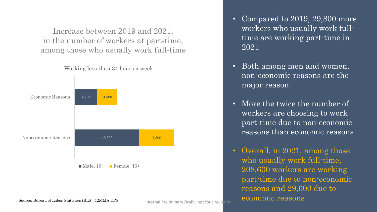Increase between 2019 and 2021, in the number of workers at part-time, among those who usually work full-time



Working less than 34 hours a week

#### • Compared to 2019, 29,800 more workers who usually work fulltime are working part-time in 2021

- Both among men and women, non-economic reasons are the major reason
- More the twice the number of workers are choosing to work part-time due to non-economic reasons than economic reasons
- Overall, in 2021, among those who usually work full-time, 208,600 workers are working part-time due to non-economic reasons and 29,600 due to Internal Preliminary Draft - not for circulation economic reasons

Source: Bureau of Labor Statistics (BLS), 12MMA CPS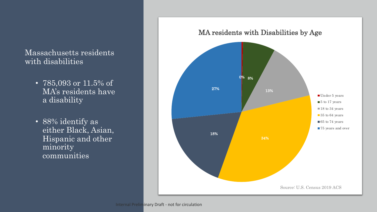#### Massachusetts residents with disabilities

- 785,093 or 11.5% of MA's residents have a disability
- 88% identify as either Black, Asian, Hispanic and other minority communities

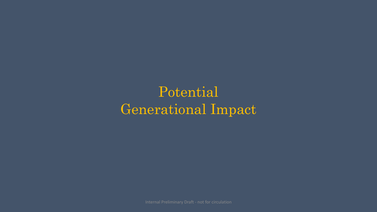# Potential Generational Impact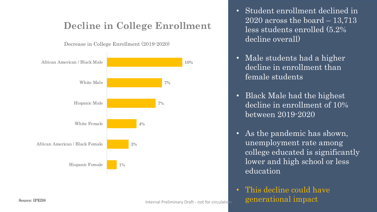## **Decline in College Enrollment**

Decrease in College Enrollment (2019-2020)



- Student enrollment declined in 2020 across the board  $-13,713$ less students enrolled (5.2% decline overall)
- Male students had a higher decline in enrollment than female students
- Black Male had the highest decline in enrollment of 10% between 2019-2020
- As the pandemic has shown, unemployment rate among college educated is significantly lower and high school or less education
- This decline could have  $S<sub>ource</sub>: IPEDS$  generational  $\frac{1}{2}$   $\frac{1}{2}$   $\frac{1}{2}$   $\frac{1}{2}$   $\frac{1}{2}$   $\frac{1}{2}$   $\frac{1}{2}$   $\frac{1}{2}$   $\frac{1}{2}$   $\frac{1}{2}$   $\frac{1}{2}$   $\frac{1}{2}$   $\frac{1}{2}$   $\frac{1}{2}$   $\frac{1}{2}$   $\frac{1}{2}$   $\frac{1}{2}$   $\frac{1}{2}$   $\frac{1}{2}$   $\frac{$

Internal Preliminary Draft - not for circulation